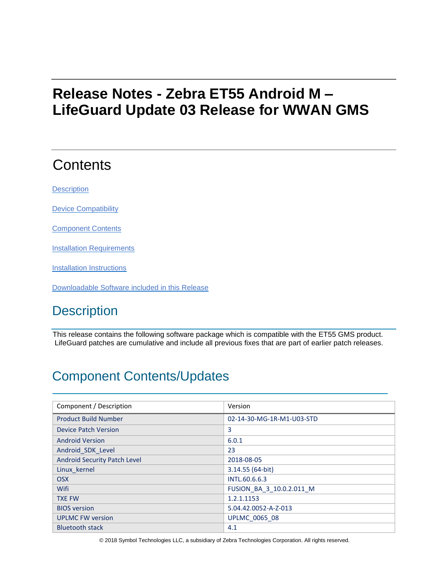# **Release Notes - Zebra ET55 Android M – LifeGuard Update 03 Release for WWAN GMS**

# **Contents**

**[Description](#page-0-0)** 

[Device Compatibility](#page-3-0)

Component Contents

**[Installation Requirements](#page-3-1)** 

[Installation Instructions](#page-3-2)

[Downloadable Software included in this Release](#page-4-0)

# <span id="page-0-0"></span>**Description**

This release contains the following software package which is compatible with the ET55 GMS product. LifeGuard patches are cumulative and include all previous fixes that are part of earlier patch releases.

# Component Contents/Updates

| Component / Description      | Version                   |
|------------------------------|---------------------------|
| <b>Product Build Number</b>  | 02-14-30-MG-1R-M1-U03-STD |
| <b>Device Patch Version</b>  | 3                         |
| <b>Android Version</b>       | 6.0.1                     |
| Android SDK Level            | 23                        |
| Android Security Patch Level | 2018-08-05                |
| Linux kernel                 | 3.14.55 (64-bit)          |
| <b>OSX</b>                   | INTL.60.6.6.3             |
| <b>Wifi</b>                  | FUSION BA 3 10.0.2.011 M  |
| <b>TXE FW</b>                | 1.2.1.1153                |
| <b>BIOS</b> version          | 5.04.42.0052-A-Z-013      |
| <b>UPLMC FW version</b>      | <b>UPLMC 0065 08</b>      |
| <b>Bluetooth stack</b>       | 4.1                       |

© 2018 Symbol Technologies LLC, a subsidiary of Zebra Technologies Corporation. All rights reserved.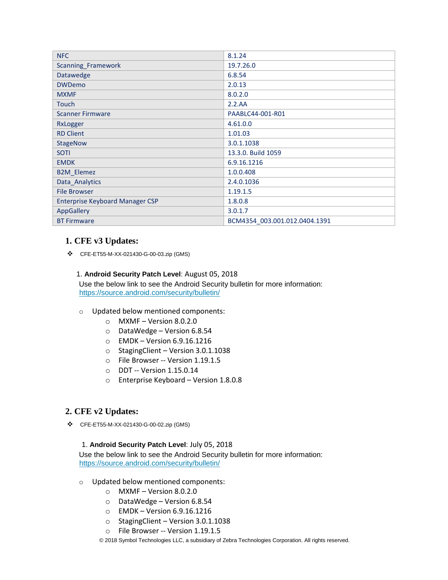| <b>NFC</b>                             | 8.1.24                        |
|----------------------------------------|-------------------------------|
| Scanning_Framework                     | 19.7.26.0                     |
| Datawedge                              | 6.8.54                        |
| <b>DWDemo</b>                          | 2.0.13                        |
| <b>MXMF</b>                            | 8.0.2.0                       |
| Touch                                  | 2.2.AA                        |
| <b>Scanner Firmware</b>                | PAABLC44-001-R01              |
| RxLogger                               | 4.61.0.0                      |
| <b>RD Client</b>                       | 1.01.03                       |
| <b>StageNow</b>                        | 3.0.1.1038                    |
| <b>SOTI</b>                            | 13.3.0. Build 1059            |
| <b>EMDK</b>                            | 6.9.16.1216                   |
| <b>B2M_Elemez</b>                      | 1.0.0.408                     |
| Data_Analytics                         | 2.4.0.1036                    |
| <b>File Browser</b>                    | 1.19.1.5                      |
| <b>Enterprise Keyboard Manager CSP</b> | 1.8.0.8                       |
| AppGallery                             | 3.0.1.7                       |
| <b>BT Firmware</b>                     | BCM4354 003.001.012.0404.1391 |

### **1. CFE v3 Updates:**

❖ CFE-ET55-M-XX-021430-G-00-03.zip (GMS)

#### 1. **Android Security Patch Level**: August 05, 2018

Use the below link to see the Android Security bulletin for more information: <https://source.android.com/security/bulletin/>

- o Updated below mentioned components:
	- $\circ$  MXMF Version 8.0.2.0
	- o DataWedge Version 6.8.54
	- o EMDK Version 6.9.16.1216
	- o StagingClient Version 3.0.1.1038
	- o File Browser -- Version 1.19.1.5
	- o DDT -- Version 1.15.0.14
	- o Enterprise Keyboard Version 1.8.0.8

### **2. CFE v2 Updates:**

❖ CFE-ET55-M-XX-021430-G-00-02.zip (GMS)

#### 1. **Android Security Patch Level**: July 05, 2018

Use the below link to see the Android Security bulletin for more information: <https://source.android.com/security/bulletin/>

- o Updated below mentioned components:
	- o MXMF Version 8.0.2.0
	- o DataWedge Version 6.8.54
	- o EMDK Version 6.9.16.1216
	- o StagingClient Version 3.0.1.1038
	- o File Browser -- Version 1.19.1.5
	- © 2018 Symbol Technologies LLC, a subsidiary of Zebra Technologies Corporation. All rights reserved.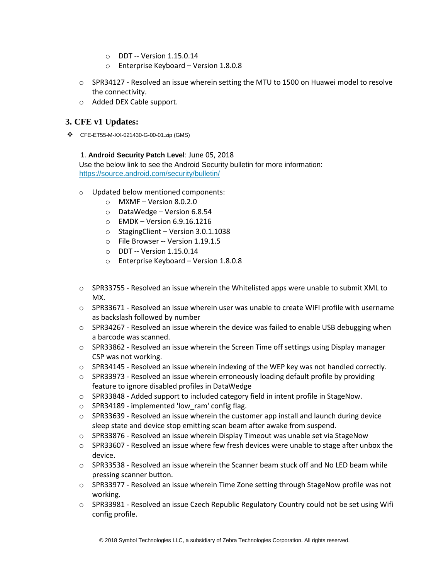- o DDT -- Version 1.15.0.14
- o Enterprise Keyboard Version 1.8.0.8
- $\circ$  SPR34127 Resolved an issue wherein setting the MTU to 1500 on Huawei model to resolve the connectivity.
- o Added DEX Cable support.

### **3. CFE v1 Updates:**

❖ CFE-ET55-M-XX-021430-G-00-01.zip (GMS)

#### 1. **Android Security Patch Level**: June 05, 2018

Use the below link to see the Android Security bulletin for more information: <https://source.android.com/security/bulletin/>

- o Updated below mentioned components:
	- $\circ$  MXMF Version 8.0.2.0
	- o DataWedge Version 6.8.54
	- o EMDK Version 6.9.16.1216
	- o StagingClient Version 3.0.1.1038
	- o File Browser -- Version 1.19.1.5
	- o DDT -- Version 1.15.0.14
	- o Enterprise Keyboard Version 1.8.0.8
- $\circ$  SPR33755 Resolved an issue wherein the Whitelisted apps were unable to submit XML to MX.
- $\circ$  SPR33671 Resolved an issue wherein user was unable to create WIFI profile with username as backslash followed by number
- $\circ$  SPR34267 Resolved an issue wherein the device was failed to enable USB debugging when a barcode was scanned.
- $\circ$  SPR33862 Resolved an issue wherein the Screen Time off settings using Display manager CSP was not working.
- $\circ$  SPR34145 Resolved an issue wherein indexing of the WEP key was not handled correctly.
- $\circ$  SPR33973 Resolved an issue wherein erroneously loading default profile by providing feature to ignore disabled profiles in DataWedge
- $\circ$  SPR33848 Added support to included category field in intent profile in StageNow.
- o SPR34189 implemented 'low\_ram' config flag.
- $\circ$  SPR33639 Resolved an issue wherein the customer app install and launch during device sleep state and device stop emitting scan beam after awake from suspend.
- $\circ$  SPR33876 Resolved an issue wherein Display Timeout was unable set via StageNow
- $\circ$  SPR33607 Resolved an issue where few fresh devices were unable to stage after unbox the device.
- o SPR33538 Resolved an issue wherein the Scanner beam stuck off and No LED beam while pressing scanner button.
- $\circ$  SPR33977 Resolved an issue wherein Time Zone setting through StageNow profile was not working.
- $\circ$  SPR33981 Resolved an issue Czech Republic Regulatory Country could not be set using Wifi config profile.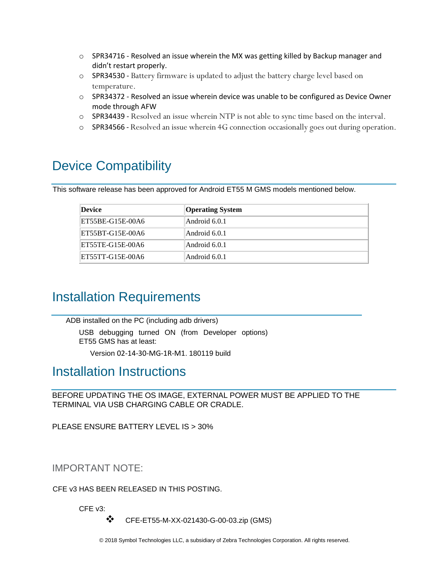- $\circ$  SPR34716 Resolved an issue wherein the MX was getting killed by Backup manager and didn't restart properly.
- o SPR34530 Battery firmware is updated to adjust the battery charge level based on temperature.
- o SPR34372 Resolved an issue wherein device was unable to be configured as Device Owner mode through AFW
- o SPR34439 Resolved an issue wherein NTP is not able to sync time based on the interval.
- o SPR34566 Resolved an issue wherein 4G connection occasionally goes out during operation.

## <span id="page-3-0"></span>Device Compatibility

This software release has been approved for Android ET55 M GMS models mentioned below.

| Device           | <b>Operating System</b> |
|------------------|-------------------------|
| ET55BE-G15E-00A6 | Android 6.0.1           |
| ET55BT-G15E-00A6 | Android 6.0.1           |
| ET55TE-G15E-00A6 | Android 6.0.1           |
| ET55TT-G15E-00A6 | Android 6.0.1           |

## <span id="page-3-1"></span>Installation Requirements

ADB installed on the PC (including adb drivers) USB debugging turned ON (from Developer options) ET55 GMS has at least:

Version 02-14-30-MG-1R-M1. 180119 build

### <span id="page-3-2"></span>Installation Instructions

BEFORE UPDATING THE OS IMAGE, EXTERNAL POWER MUST BE APPLIED TO THE TERMINAL VIA USB CHARGING CABLE OR CRADLE.

PLEASE ENSURE BATTERY LEVEL IS > 30%

IMPORTANT NOTE:

CFE v3 HAS BEEN RELEASED IN THIS POSTING.

CFE v3:

❖ CFE-ET55-M-XX-021430-G-00-03.zip (GMS)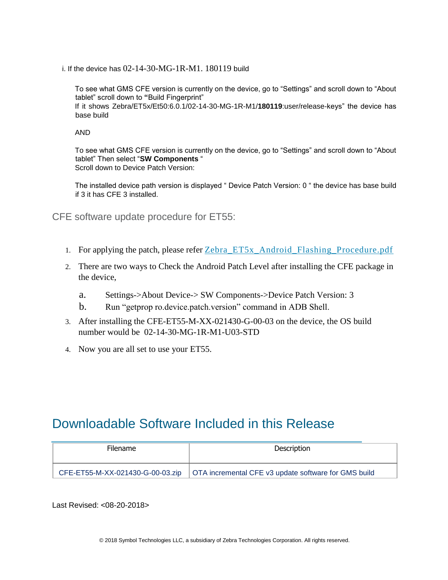i. If the device has 02-14-30-MG-1R-M1. 180119 build

To see what GMS CFE version is currently on the device, go to "Settings" and scroll down to "About tablet" scroll down to **"**Build Fingerprint" If it shows Zebra/ET5x/Et50:6.0.1/02-14-30-MG-1R-M1/**180119**:user/release-keys" the device has base build

AND

To see what GMS CFE version is currently on the device, go to "Settings" and scroll down to "About tablet" Then select "**SW Components** " Scroll down to Device Patch Version:

The installed device path version is displayed " Device Patch Version: 0 " the device has base build if 3 it has CFE 3 installed.

CFE software update procedure for ET55:

- 1. For applying the patch, please refer [Zebra\\_ET5x\\_Android\\_Flashing\\_Procedure.pdf](https://www.zebra.com/content/dam/zebra_new_ia/en-us/software/operating-system/ET5X%20Operating%20System/Zebra-ET5x-Android-Flashing-Procedure.pdf)
- 2. There are two ways to Check the Android Patch Level after installing the CFE package in the device,
	- a. Settings->About Device-> SW Components->Device Patch Version: 3
	- b. Run "getprop ro.device.patch.version" command in ADB Shell.
- 3. After installing the CFE-ET55-M-XX-021430-G-00-03 on the device, the OS build number would be 02-14-30-MG-1R-M1-U03-STD
- 4. Now you are all set to use your ET55.

## <span id="page-4-0"></span>Downloadable Software Included in this Release

| <b>Filename</b> | Description                                                                             |
|-----------------|-----------------------------------------------------------------------------------------|
|                 | CFE-ET55-M-XX-021430-G-00-03.zip   OTA incremental CFE v3 update software for GMS build |

Last Revised: <08-20-2018>